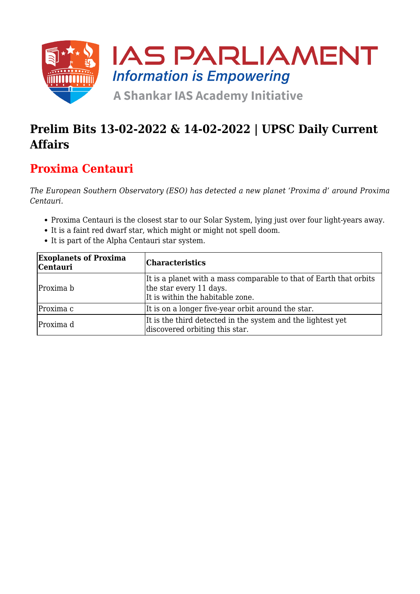

# **Prelim Bits 13-02-2022 & 14-02-2022 | UPSC Daily Current Affairs**

## **Proxima Centauri**

*The European Southern Observatory (ESO) has detected a new planet 'Proxima d' around Proxima Centauri.*

- Proxima Centauri is the closest star to our Solar System, lying just over four light-years away.
- It is a faint red dwarf star, which might or might not spell doom.
- It is part of the Alpha Centauri star system.

| <b>Exoplanets of Proxima</b><br><b>Centauri</b> | <b>Characteristics</b>                                                                                                            |
|-------------------------------------------------|-----------------------------------------------------------------------------------------------------------------------------------|
| Proxima b                                       | It is a planet with a mass comparable to that of Earth that orbits<br>the star every 11 days.<br>It is within the habitable zone. |
| Proxima c                                       | It is on a longer five-year orbit around the star.                                                                                |
| Proxima d                                       | It is the third detected in the system and the lightest yet<br>discovered orbiting this star.                                     |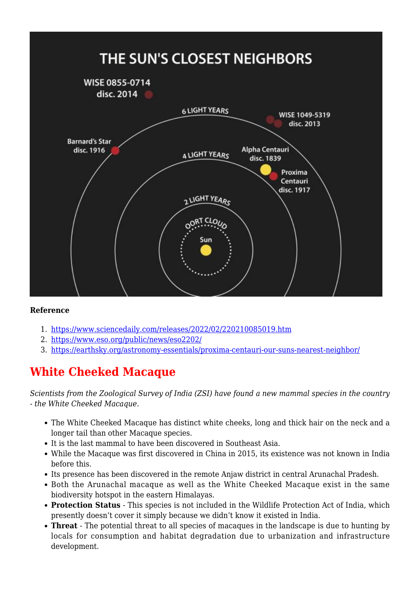

- 1. <https://www.sciencedaily.com/releases/2022/02/220210085019.htm>
- 2. <https://www.eso.org/public/news/eso2202/>
- 3. <https://earthsky.org/astronomy-essentials/proxima-centauri-our-suns-nearest-neighbor/>

### **White Cheeked Macaque**

*Scientists from the Zoological Survey of India (ZSI) have found a new mammal species in the country - the White Cheeked Macaque.*

- The White Cheeked Macaque has distinct white cheeks, long and thick hair on the neck and a longer tail than other Macaque species.
- It is the last mammal to have been discovered in Southeast Asia.
- While the Macaque was first discovered in China in 2015, its existence was not known in India before this.
- Its presence has been discovered in the remote Anjaw district in central Arunachal Pradesh.
- Both the Arunachal macaque as well as the White Cheeked Macaque exist in the same biodiversity hotspot in the eastern Himalayas.
- **Protection Status** This species is not included in the Wildlife Protection Act of India, which presently doesn't cover it simply because we didn't know it existed in India.
- **Threat** The potential threat to all species of macaques in the landscape is due to hunting by locals for consumption and habitat degradation due to urbanization and infrastructure development.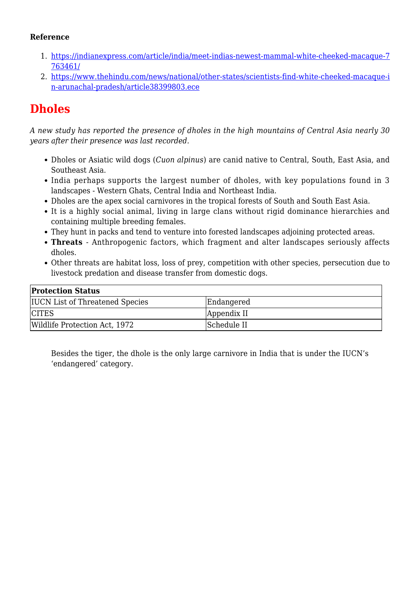- 1. [https://indianexpress.com/article/india/meet-indias-newest-mammal-white-cheeked-macaque-7](https://indianexpress.com/article/india/meet-indias-newest-mammal-white-cheeked-macaque-7763461/) [763461/](https://indianexpress.com/article/india/meet-indias-newest-mammal-white-cheeked-macaque-7763461/)
- 2. [https://www.thehindu.com/news/national/other-states/scientists-find-white-cheeked-macaque-i](https://www.thehindu.com/news/national/other-states/scientists-find-white-cheeked-macaque-in-arunachal-pradesh/article38399803.ece) [n-arunachal-pradesh/article38399803.ece](https://www.thehindu.com/news/national/other-states/scientists-find-white-cheeked-macaque-in-arunachal-pradesh/article38399803.ece)

# **Dholes**

*A new study has reported the presence of dholes in the high mountains of Central Asia nearly 30 years after their presence was last recorded.*

- Dholes or Asiatic wild dogs (*Cuon alpinus*) are canid native to Central, South, East Asia, and Southeast Asia.
- India perhaps supports the largest number of dholes, with key populations found in 3 landscapes - Western Ghats, Central India and Northeast India.
- Dholes are the apex social carnivores in the tropical forests of South and South East Asia.
- It is a highly social animal, living in large clans without rigid dominance hierarchies and containing multiple breeding females.
- They hunt in packs and tend to venture into forested landscapes adjoining protected areas.
- **Threats**  Anthropogenic factors, which fragment and alter landscapes seriously affects dholes.
- Other threats are habitat loss, loss of prey, competition with other species, persecution due to livestock predation and disease transfer from domestic dogs.

| <b>Protection Status</b>               |             |  |
|----------------------------------------|-------------|--|
| <b>IUCN List of Threatened Species</b> | Endangered  |  |
| <b>CITES</b>                           | Appendix II |  |
| Wildlife Protection Act, 1972          | Schedule II |  |

Besides the tiger, the dhole is the only large carnivore in India that is under the IUCN's 'endangered' category.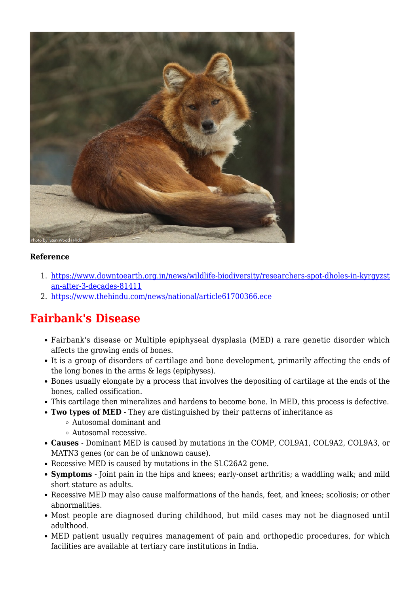

- 1. [https://www.downtoearth.org.in/news/wildlife-biodiversity/researchers-spot-dholes-in-kyrgyzst](https://www.downtoearth.org.in/news/wildlife-biodiversity/researchers-spot-dholes-in-kyrgyzstan-after-3-decades-81411) [an-after-3-decades-81411](https://www.downtoearth.org.in/news/wildlife-biodiversity/researchers-spot-dholes-in-kyrgyzstan-after-3-decades-81411)
- 2. <https://www.thehindu.com/news/national/article61700366.ece>

### **Fairbank's Disease**

- Fairbank's disease or Multiple epiphyseal dysplasia (MED) a rare genetic disorder which affects the growing ends of bones.
- It is a group of disorders of cartilage and bone development, primarily affecting the ends of the long bones in the arms & legs (epiphyses).
- Bones usually elongate by a process that involves the depositing of cartilage at the ends of the bones, called ossification.
- This cartilage then mineralizes and hardens to become bone. In MED, this process is defective.
- **Two types of MED** They are distinguished by their patterns of inheritance as
	- Autosomal dominant and
	- Autosomal recessive.
- **Causes** Dominant MED is caused by mutations in the COMP, COL9A1, COL9A2, COL9A3, or MATN3 genes (or can be of unknown cause).
- Recessive MED is caused by mutations in the SLC26A2 gene.
- **Symptoms** Joint pain in the hips and knees; early-onset arthritis; a waddling walk; and mild short stature as adults.
- Recessive MED may also cause malformations of the hands, feet, and knees; scoliosis; or other abnormalities.
- Most people are diagnosed during childhood, but mild cases may not be diagnosed until adulthood.
- MED patient usually requires management of pain and orthopedic procedures, for which facilities are available at tertiary care institutions in India.